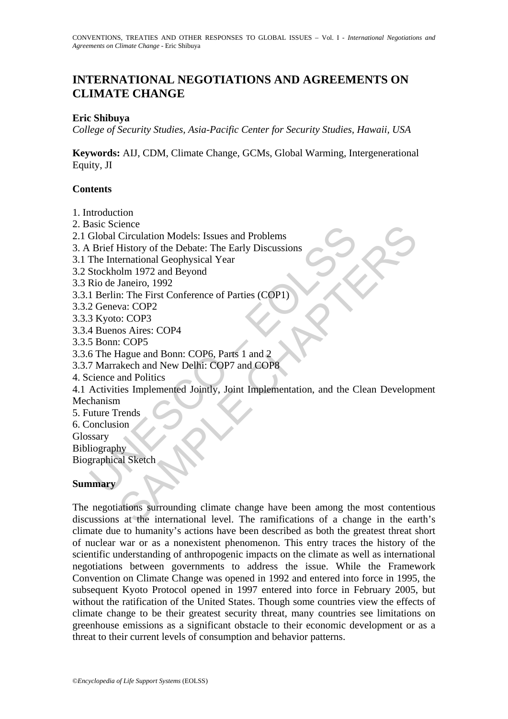# **INTERNATIONAL NEGOTIATIONS AND AGREEMENTS ON CLIMATE CHANGE**

## **Eric Shibuya**

*College of Security Studies, Asia-Pacific Center for Security Studies, Hawaii, USA* 

**Keywords:** AIJ, CDM, Climate Change, GCMs, Global Warming, Intergenerational Equity, JI

## **Contents**

- 1. Introduction
- 2. Basic Science
- 2.1 Global Circulation Models: Issues and Problems
- 3. A Brief History of the Debate: The Early Discussions
- 3.1 The International Geophysical Year
- 3.2 Stockholm 1972 and Beyond
- 3.3 Rio de Janeiro, 1992
- 3.3.1 Berlin: The First Conference of Parties (COP1)
- 3.3.2 Geneva: COP2
- 3.3.3 Kyoto: COP3
- 3.3.4 Buenos Aires: COP4
- 3.3.5 Bonn: COP5
- 3.3.6 The Hague and Bonn: COP6, Parts 1 and 2
- 3.3.7 Marrakech and New Delhi: COP7 and COP8
- 4. Science and Politics
- Solida Circulation Models: Issues and Problems<br>
Global Circulation Models: Issues and Problems<br>
The International Geophysical Year<br>
The International Geophysical Year<br>
Stockholm 1972 and Beyond<br>
Rio de Janeiro, 1992<br>
2 Gen Finance Control Models: Issues and Problems<br>
Circulation Models: The Early Discussions<br>
Elistory of the Debate: The Early Discussions<br>
ernational Geophysical Year<br>
Janeiro, 1992<br>
Janeiro, 1992<br>
SA (COP3)<br>
os Aires: COP4<br>
C 4.1 Activities Implemented Jointly, Joint Implementation, and the Clean Development Mechanism
- 5. Future Trends
- 6. Conclusion
- Glossary
- Bibliography

Biographical Sketch

### **Summary**

The negotiations surrounding climate change have been among the most contentious discussions at the international level. The ramifications of a change in the earth's climate due to humanity's actions have been described as both the greatest threat short of nuclear war or as a nonexistent phenomenon. This entry traces the history of the scientific understanding of anthropogenic impacts on the climate as well as international negotiations between governments to address the issue. While the Framework Convention on Climate Change was opened in 1992 and entered into force in 1995, the subsequent Kyoto Protocol opened in 1997 entered into force in February 2005, but without the ratification of the United States. Though some countries view the effects of climate change to be their greatest security threat, many countries see limitations on greenhouse emissions as a significant obstacle to their economic development or as a threat to their current levels of consumption and behavior patterns.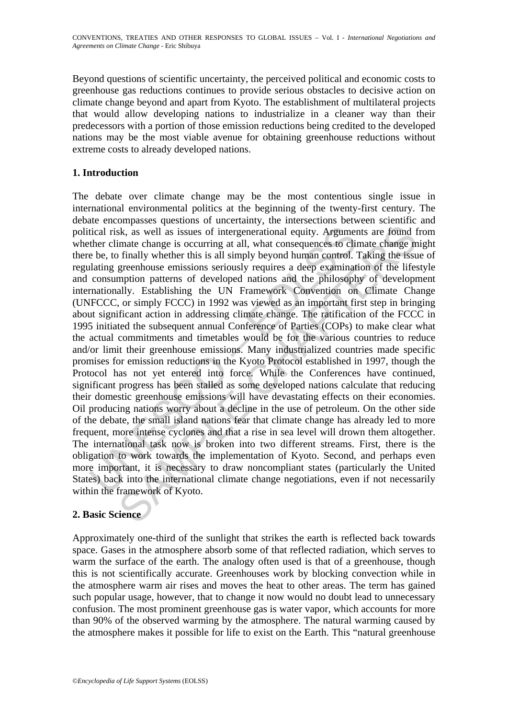Beyond questions of scientific uncertainty, the perceived political and economic costs to greenhouse gas reductions continues to provide serious obstacles to decisive action on climate change beyond and apart from Kyoto. The establishment of multilateral projects that would allow developing nations to industrialize in a cleaner way than their predecessors with a portion of those emission reductions being credited to the developed nations may be the most viable avenue for obtaining greenhouse reductions without extreme costs to already developed nations.

# **1. Introduction**

tical risk, as well as issues of intergenerational equity. Argumet<br>ther climate change is occurring at all, what consequences to clin<br>be be, to finally whether this is all simply beyond human control. <br>"<br>alating greenhouse sk, as well as issues of intergenerational equity. Arguments are found fimate change is occurring at all, what consequences to climate change m finally whether this is all simply beyond human control. Taking the issues gre The debate over climate change may be the most contentious single issue in international environmental politics at the beginning of the twenty-first century. The debate encompasses questions of uncertainty, the intersections between scientific and political risk, as well as issues of intergenerational equity. Arguments are found from whether climate change is occurring at all, what consequences to climate change might there be, to finally whether this is all simply beyond human control. Taking the issue of regulating greenhouse emissions seriously requires a deep examination of the lifestyle and consumption patterns of developed nations and the philosophy of development internationally. Establishing the UN Framework Convention on Climate Change (UNFCCC, or simply FCCC) in 1992 was viewed as an important first step in bringing about significant action in addressing climate change. The ratification of the FCCC in 1995 initiated the subsequent annual Conference of Parties (COPs) to make clear what the actual commitments and timetables would be for the various countries to reduce and/or limit their greenhouse emissions. Many industrialized countries made specific promises for emission reductions in the Kyoto Protocol established in 1997, though the Protocol has not yet entered into force. While the Conferences have continued, significant progress has been stalled as some developed nations calculate that reducing their domestic greenhouse emissions will have devastating effects on their economies. Oil producing nations worry about a decline in the use of petroleum. On the other side of the debate, the small island nations fear that climate change has already led to more frequent, more intense cyclones and that a rise in sea level will drown them altogether. The international task now is broken into two different streams. First, there is the obligation to work towards the implementation of Kyoto. Second, and perhaps even more important, it is necessary to draw noncompliant states (particularly the United States) back into the international climate change negotiations, even if not necessarily within the framework of Kyoto.

# **2. Basic Science**

Approximately one-third of the sunlight that strikes the earth is reflected back towards space. Gases in the atmosphere absorb some of that reflected radiation, which serves to warm the surface of the earth. The analogy often used is that of a greenhouse, though this is not scientifically accurate. Greenhouses work by blocking convection while in the atmosphere warm air rises and moves the heat to other areas. The term has gained such popular usage, however, that to change it now would no doubt lead to unnecessary confusion. The most prominent greenhouse gas is water vapor, which accounts for more than 90% of the observed warming by the atmosphere. The natural warming caused by the atmosphere makes it possible for life to exist on the Earth. This "natural greenhouse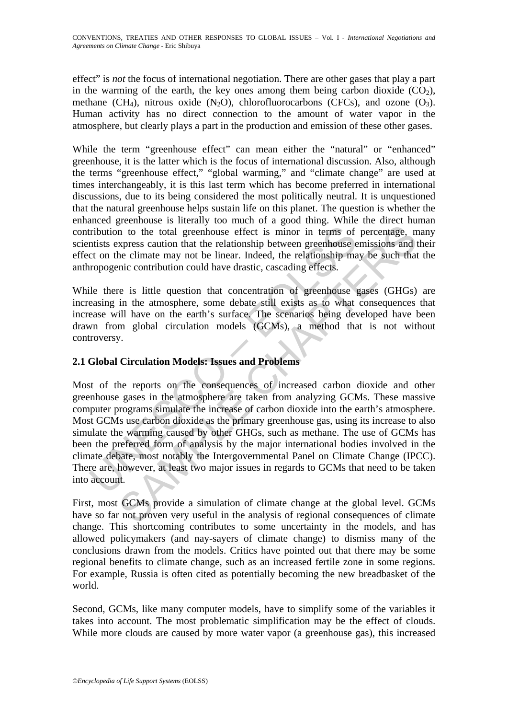effect" is *not* the focus of international negotiation. There are other gases that play a part in the warming of the earth, the key ones among them being carbon dioxide  $(CO<sub>2</sub>)$ , methane (CH<sub>4</sub>), nitrous oxide (N<sub>2</sub>O), chlorofluorocarbons (CFCs), and ozone (O<sub>3</sub>). Human activity has no direct connection to the amount of water vapor in the atmosphere, but clearly plays a part in the production and emission of these other gases.

While the term "greenhouse effect" can mean either the "natural" or "enhanced" greenhouse, it is the latter which is the focus of international discussion. Also, although the terms "greenhouse effect," "global warming," and "climate change" are used at times interchangeably, it is this last term which has become preferred in international discussions, due to its being considered the most politically neutral. It is unquestioned that the natural greenhouse helps sustain life on this planet. The question is whether the enhanced greenhouse is literally too much of a good thing. While the direct human contribution to the total greenhouse effect is minor in terms of percentage, many scientists express caution that the relationship between greenhouse emissions and their effect on the climate may not be linear. Indeed, the relationship may be such that the anthropogenic contribution could have drastic, cascading effects.

While there is little question that concentration of greenhouse gases (GHGs) are increasing in the atmosphere, some debate still exists as to what consequences that increase will have on the earth's surface. The scenarios being developed have been drawn from global circulation models (GCMs), a method that is not without controversy.

# **2.1 Global Circulation Models: Issues and Problems**

interibution to the total greenhouse effect is minor in terms of mitists express caution that the relationship between greenhouse et come the climate may not be linear. Indeed, the relationship manopogenic contribution cou in to the total greenhouse effect is minor in terms of percentage, n<br>an to the total greenhouse effect is minor in terms of percentage, n<br>xpress caution that the relationship between greenhouse emissions and<br>the elimate ma Most of the reports on the consequences of increased carbon dioxide and other greenhouse gases in the atmosphere are taken from analyzing GCMs. These massive computer programs simulate the increase of carbon dioxide into the earth's atmosphere. Most GCMs use carbon dioxide as the primary greenhouse gas, using its increase to also simulate the warming caused by other GHGs, such as methane. The use of GCMs has been the preferred form of analysis by the major international bodies involved in the climate debate, most notably the Intergovernmental Panel on Climate Change (IPCC). There are, however, at least two major issues in regards to GCMs that need to be taken into account.

First, most GCMs provide a simulation of climate change at the global level. GCMs have so far not proven very useful in the analysis of regional consequences of climate change. This shortcoming contributes to some uncertainty in the models, and has allowed policymakers (and nay-sayers of climate change) to dismiss many of the conclusions drawn from the models. Critics have pointed out that there may be some regional benefits to climate change, such as an increased fertile zone in some regions. For example, Russia is often cited as potentially becoming the new breadbasket of the world.

Second, GCMs, like many computer models, have to simplify some of the variables it takes into account. The most problematic simplification may be the effect of clouds. While more clouds are caused by more water vapor (a greenhouse gas), this increased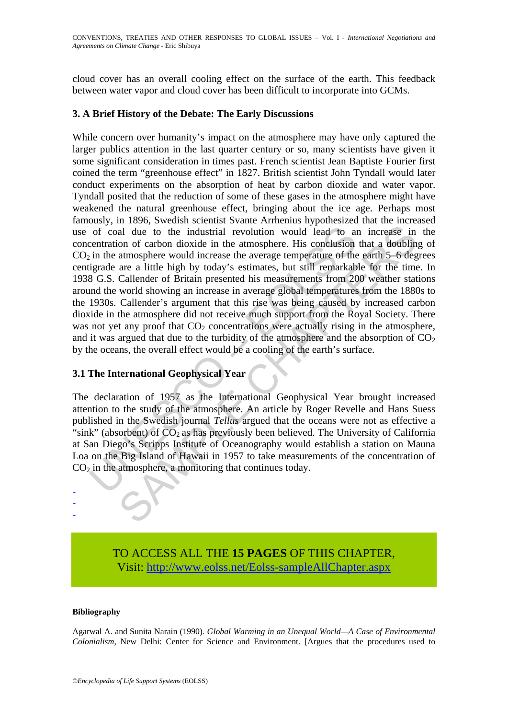cloud cover has an overall cooling effect on the surface of the earth. This feedback between water vapor and cloud cover has been difficult to incorporate into GCMs.

## **3. A Brief History of the Debate: The Early Discussions**

of coal due to the industrial revolution would lead to an centration of carbon dioxide in the atmosphere. His conclusion in the atmosphere would increase the average temperature of the igreade are a little high by today's al due to the industrial revolution would lead to an increase in<br>on of carbon dioxide in the atmosphere. His conclusion that a doublin<br>atmosphere would increase the average temperature of the earth 5–6 deges<br>are a little While concern over humanity's impact on the atmosphere may have only captured the larger publics attention in the last quarter century or so, many scientists have given it some significant consideration in times past. French scientist Jean Baptiste Fourier first coined the term "greenhouse effect" in 1827. British scientist John Tyndall would later conduct experiments on the absorption of heat by carbon dioxide and water vapor. Tyndall posited that the reduction of some of these gases in the atmosphere might have weakened the natural greenhouse effect, bringing about the ice age. Perhaps most famously, in 1896, Swedish scientist Svante Arrhenius hypothesized that the increased use of coal due to the industrial revolution would lead to an increase in the concentration of carbon dioxide in the atmosphere. His conclusion that a doubling of  $CO<sub>2</sub>$  in the atmosphere would increase the average temperature of the earth 5–6 degrees centigrade are a little high by today's estimates, but still remarkable for the time. In 1938 G.S. Callender of Britain presented his measurements from 200 weather stations around the world showing an increase in average global temperatures from the 1880s to the 1930s. Callender's argument that this rise was being caused by increased carbon dioxide in the atmosphere did not receive much support from the Royal Society. There was not yet any proof that  $CO<sub>2</sub>$  concentrations were actually rising in the atmosphere, and it was argued that due to the turbidity of the atmosphere and the absorption of  $CO<sub>2</sub>$ by the oceans, the overall effect would be a cooling of the earth's surface.

# **3.1 The International Geophysical Year**

The declaration of 1957 as the International Geophysical Year brought increased attention to the study of the atmosphere. An article by Roger Revelle and Hans Suess published in the Swedish journal *Tellus* argued that the oceans were not as effective a "sink" (absorbent) of  $CO<sub>2</sub>$  as has previously been believed. The University of California at San Diego's Scripps Institute of Oceanography would establish a station on Mauna Loa on the Big Island of Hawaii in 1957 to take measurements of the concentration of  $CO<sub>2</sub>$  in the atmosphere, a monitoring that continues today.

> TO ACCESS ALL THE **15 PAGES** OF THIS CHAPTER, Visit: [http://www.eolss.net/Eolss-sampleAllChapter.aspx](https://www.eolss.net/ebooklib/sc_cart.aspx?File=E1-44-02-03)

#### **Bibliography**

- - -

Agarwal A. and Sunita Narain (1990). *Global Warming in an Unequal World—A Case of Environmental Colonialism*, New Delhi: Center for Science and Environment. [Argues that the procedures used to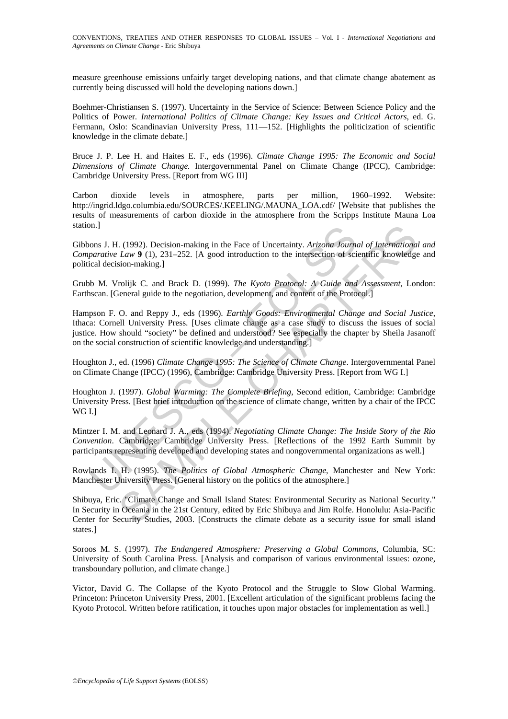measure greenhouse emissions unfairly target developing nations, and that climate change abatement as currently being discussed will hold the developing nations down.]

Boehmer-Christiansen S. (1997). Uncertainty in the Service of Science: Between Science Policy and the Politics of Power. *International Politics of Climate Change: Key Issues and Critical Actors*, ed. G. Fermann, Oslo: Scandinavian University Press, 111—152. [Highlights the politicization of scientific knowledge in the climate debate.]

Bruce J. P. Lee H. and Haites E. F., eds (1996). *Climate Change 1995: The Economic and Social Dimensions of Climate Change.* Intergovernmental Panel on Climate Change (IPCC), Cambridge: Cambridge University Press. [Report from WG III]

Carbon dioxide levels in atmosphere, parts per million, 1960–1992. Website: http://ingrid.ldgo.columbia.edu/SOURCES/.KEELING/.MAUNA\_LOA.cdf/ [Website that publishes the results of measurements of carbon dioxide in the atmosphere from the Scripps Institute Mauna Loa station.]

Gibbons J. H. (1992). Decision-making in the Face of Uncertainty. *Arizona Journal of International and Comparative Law* **9** (1), 231–252. [A good introduction to the intersection of scientific knowledge and political decision-making.]

Grubb M. Vrolijk C. and Brack D. (1999). *The Kyoto Protocol: A Guide and Assessment*, London: Earthscan. [General guide to the negotiation, development, and content of the Protocol.]

onal J. H. (1992). Decision-making in the Face of Uncertainty. Arizona Journal parative Law 9 (1), 231–252. [A good introduction to the intersection of scient decision-making.]<br>
b M. Vrolijk C. and Brack D. (1999). *The Ky* I. (1992). Decision-making in the Face of Uncertainty. Arizona Journal of Internationa Law 9 (1), 231–252. [A good introduction to the intersection of scientific knowledge ison-making.]<br>
Iroligic C. and Brack D. (1999). Hampson F. O. and Reppy J., eds (1996). *Earthly Goods: Environmental Change and Social Justice*, Ithaca: Cornell University Press. [Uses climate change as a case study to discuss the issues of social justice. How should "society" be defined and understood? See especially the chapter by Sheila Jasanoff on the social construction of scientific knowledge and understanding.]

Houghton J., ed. (1996) *Climate Change 1995: The Science of Climate Change*. Intergovernmental Panel on Climate Change (IPCC) (1996), Cambridge: Cambridge University Press. [Report from WG I.]

Houghton J. (1997). *Global Warming: The Complete Briefing*, Second edition, Cambridge: Cambridge University Press. [Best brief introduction on the science of climate change, written by a chair of the IPCC WG I.]

Mintzer I. M. and Leonard J. A., eds (1994). *Negotiating Climate Change: The Inside Story of the Rio Convention*. Cambridge: Cambridge University Press. [Reflections of the 1992 Earth Summit by participants representing developed and developing states and nongovernmental organizations as well.]

Rowlands I. H. (1995). *The Politics of Global Atmospheric Change*, Manchester and New York: Manchester University Press. [General history on the politics of the atmosphere.]

Shibuya, Eric. "Climate Change and Small Island States: Environmental Security as National Security." In Security in Oceania in the 21st Century, edited by Eric Shibuya and Jim Rolfe. Honolulu: Asia-Pacific Center for Security Studies, 2003. [Constructs the climate debate as a security issue for small island states.]

Soroos M. S. (1997). *The Endangered Atmosphere: Preserving a Global Commons*, Columbia, SC: University of South Carolina Press. [Analysis and comparison of various environmental issues: ozone, transboundary pollution, and climate change.]

Victor, David G. The Collapse of the Kyoto Protocol and the Struggle to Slow Global Warming. Princeton: Princeton University Press, 2001. [Excellent articulation of the significant problems facing the Kyoto Protocol. Written before ratification, it touches upon major obstacles for implementation as well.]